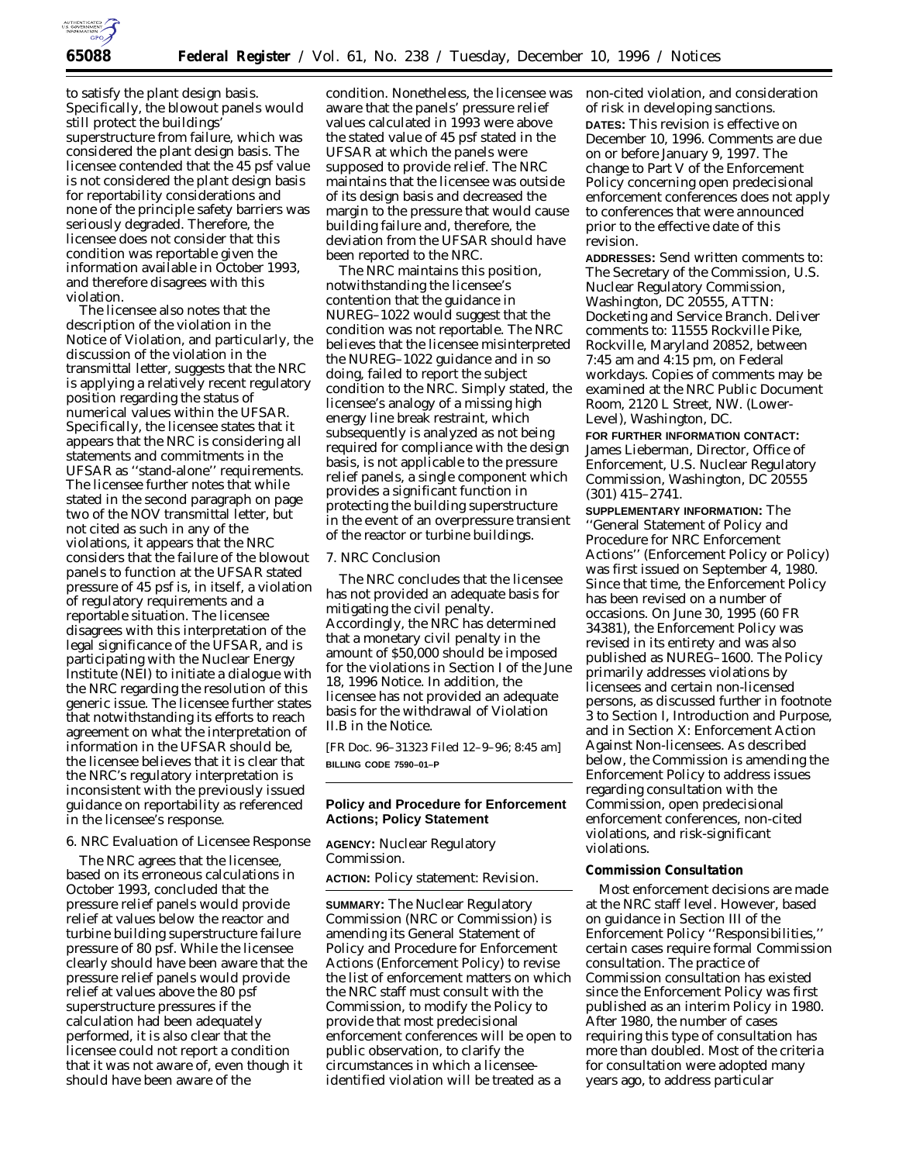

to satisfy the plant design basis. Specifically, the blowout panels would still protect the buildings' superstructure from failure, which was considered the plant design basis. The licensee contended that the 45 psf value is not considered the plant design basis for reportability considerations and none of the principle safety barriers was seriously degraded. Therefore, the licensee does not consider that this condition was reportable given the information available in October 1993, and therefore disagrees with this violation.

The licensee also notes that the description of the violation in the Notice of Violation, and particularly, the discussion of the violation in the transmittal letter, suggests that the NRC is applying a relatively recent regulatory position regarding the status of numerical values within the UFSAR. Specifically, the licensee states that it appears that the NRC is considering all statements and commitments in the UFSAR as ''stand-alone'' requirements. The licensee further notes that while stated in the second paragraph on page two of the NOV transmittal letter, but not cited as such in any of the violations, it appears that the NRC considers that the failure of the blowout panels to function at the UFSAR stated pressure of 45 psf is, in itself, a violation of regulatory requirements and a reportable situation. The licensee disagrees with this interpretation of the legal significance of the UFSAR, and is participating with the Nuclear Energy Institute (NEI) to initiate a dialogue with the NRC regarding the resolution of this generic issue. The licensee further states that notwithstanding its efforts to reach agreement on what the interpretation of information in the UFSAR should be, the licensee believes that it is clear that the NRC's regulatory interpretation is inconsistent with the previously issued guidance on reportability as referenced in the licensee's response.

#### *6. NRC Evaluation of Licensee Response*

The NRC agrees that the licensee, based on its erroneous calculations in October 1993, concluded that the pressure relief panels would provide relief at values below the reactor and turbine building superstructure failure pressure of 80 psf. While the licensee clearly should have been aware that the pressure relief panels would provide relief at values above the 80 psf superstructure pressures if the calculation had been adequately performed, it is also clear that the licensee could not report a condition that it was not aware of, even though it should have been aware of the

condition. Nonetheless, the licensee was aware that the panels' pressure relief values calculated in 1993 were above the stated value of 45 psf stated in the UFSAR at which the panels were supposed to provide relief. The NRC maintains that the licensee was outside of its design basis and decreased the margin to the pressure that would cause building failure and, therefore, the deviation from the UFSAR should have been reported to the NRC.

The NRC maintains this position, notwithstanding the licensee's contention that the guidance in NUREG–1022 would suggest that the condition was not reportable. The NRC believes that the licensee misinterpreted the NUREG–1022 guidance and in so doing, failed to report the subject condition to the NRC. Simply stated, the licensee's analogy of a missing high energy line break restraint, which subsequently is analyzed as not being required for compliance with the design basis, is not applicable to the pressure relief panels, a single component which provides a significant function in protecting the building superstructure in the event of an overpressure transient of the reactor or turbine buildings.

#### *7. NRC Conclusion*

The NRC concludes that the licensee has not provided an adequate basis for mitigating the civil penalty. Accordingly, the NRC has determined that a monetary civil penalty in the amount of \$50,000 should be imposed for the violations in Section I of the June 18, 1996 Notice. In addition, the licensee has not provided an adequate basis for the withdrawal of Violation II.B in the Notice.

[FR Doc. 96–31323 Filed 12–9–96; 8:45 am] **BILLING CODE 7590–01–P**

# **Policy and Procedure for Enforcement Actions; Policy Statement**

**AGENCY:** Nuclear Regulatory Commission.

**ACTION:** Policy statement: Revision.

**SUMMARY:** The Nuclear Regulatory Commission (NRC or Commission) is amending its General Statement of Policy and Procedure for Enforcement Actions (Enforcement Policy) to revise the list of enforcement matters on which the NRC staff must consult with the Commission, to modify the Policy to provide that most predecisional enforcement conferences will be open to public observation, to clarify the circumstances in which a licenseeidentified violation will be treated as a

non-cited violation, and consideration of risk in developing sanctions. **DATES:** This revision is effective on December 10, 1996. Comments are due on or before January 9, 1997. The change to Part V of the Enforcement Policy concerning open predecisional enforcement conferences does not apply to conferences that were announced prior to the effective date of this revision.

**ADDRESSES:** Send written comments to: The Secretary of the Commission, U.S. Nuclear Regulatory Commission, Washington, DC 20555, ATTN: Docketing and Service Branch. Deliver comments to: 11555 Rockville Pike, Rockville, Maryland 20852, between 7:45 am and 4:15 pm, on Federal workdays. Copies of comments may be examined at the NRC Public Document Room, 2120 L Street, NW. (Lower-Level), Washington, DC.

**FOR FURTHER INFORMATION CONTACT:** James Lieberman, Director, Office of Enforcement, U.S. Nuclear Regulatory Commission, Washington, DC 20555 (301) 415–2741.

**SUPPLEMENTARY INFORMATION:** The ''General Statement of Policy and Procedure for NRC Enforcement Actions'' (Enforcement Policy or Policy) was first issued on September 4, 1980. Since that time, the Enforcement Policy has been revised on a number of occasions. On June 30, 1995 (60 FR 34381), the Enforcement Policy was revised in its entirety and was also published as NUREG–1600. The Policy primarily addresses violations by licensees and certain non-licensed persons, as discussed further in footnote 3 to Section I, Introduction and Purpose, and in Section X: Enforcement Action Against Non-licensees. As described below, the Commission is amending the Enforcement Policy to address issues regarding consultation with the Commission, open predecisional enforcement conferences, non-cited violations, and risk-significant violations.

# **Commission Consultation**

Most enforcement decisions are made at the NRC staff level. However, based on guidance in Section III of the Enforcement Policy ''Responsibilities,'' certain cases require formal Commission consultation. The practice of Commission consultation has existed since the Enforcement Policy was first published as an interim Policy in 1980. After 1980, the number of cases requiring this type of consultation has more than doubled. Most of the criteria for consultation were adopted many years ago, to address particular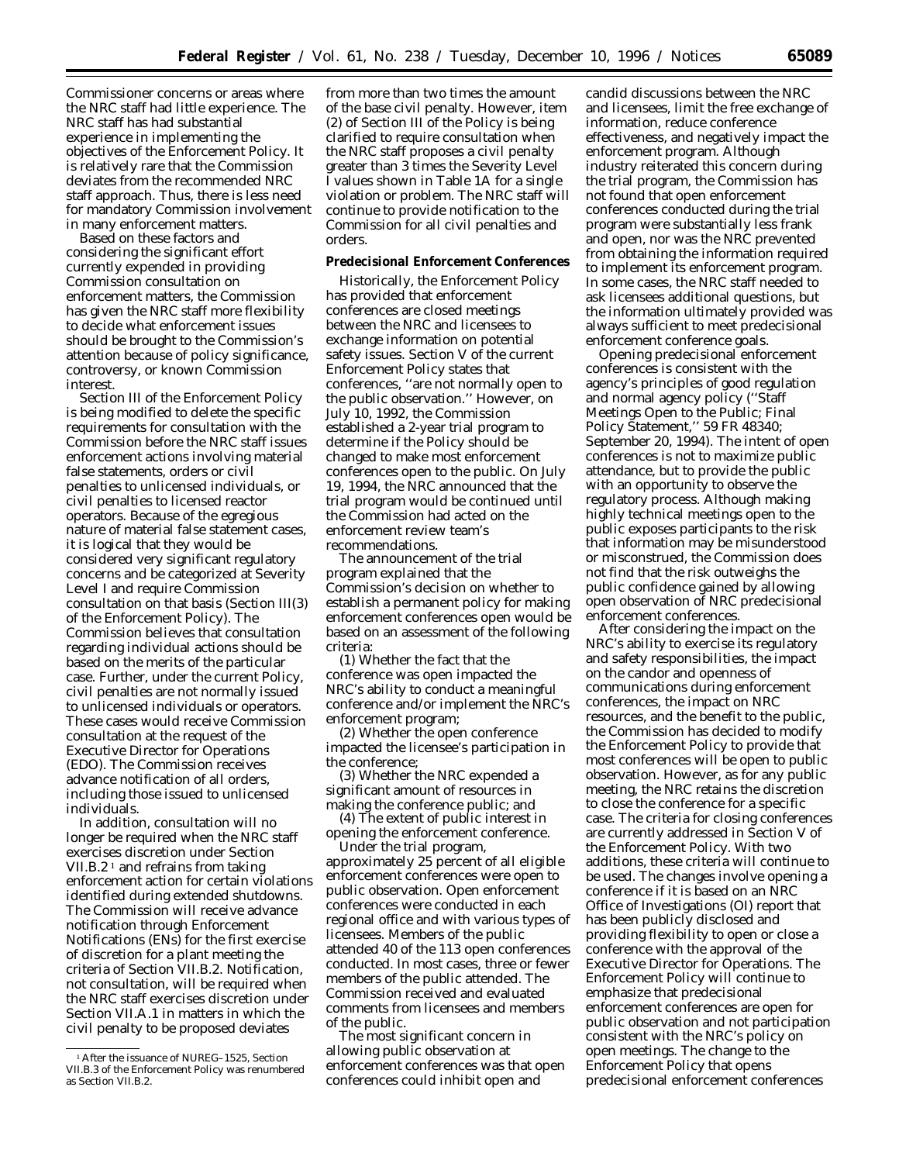Commissioner concerns or areas where the NRC staff had little experience. The NRC staff has had substantial experience in implementing the objectives of the Enforcement Policy. It is relatively rare that the Commission deviates from the recommended NRC staff approach. Thus, there is less need for mandatory Commission involvement in many enforcement matters.

Based on these factors and considering the significant effort currently expended in providing Commission consultation on enforcement matters, the Commission has given the NRC staff more flexibility to decide what enforcement issues should be brought to the Commission's attention because of policy significance, controversy, or known Commission interest.

Section III of the Enforcement Policy is being modified to delete the specific requirements for consultation with the Commission before the NRC staff issues enforcement actions involving material false statements, orders or civil penalties to unlicensed individuals, or civil penalties to licensed reactor operators. Because of the egregious nature of material false statement cases, it is logical that they would be considered very significant regulatory concerns and be categorized at Severity Level I and require Commission consultation on that basis (Section III(3) of the Enforcement Policy). The Commission believes that consultation regarding individual actions should be based on the merits of the particular case. Further, under the current Policy, civil penalties are not normally issued to unlicensed individuals or operators. These cases would receive Commission consultation at the request of the Executive Director for Operations (EDO). The Commission receives advance notification of all orders, including those issued to unlicensed individuals.

In addition, consultation will no longer be required when the NRC staff exercises discretion under Section VII.B.2<sup> $1$ </sup> and refrains from taking enforcement action for certain violations identified during extended shutdowns. The Commission will receive advance notification through Enforcement Notifications (ENs) for the first exercise of discretion for a plant meeting the criteria of Section VII.B.2. Notification, not consultation, will be required when the NRC staff exercises discretion under Section VII.A.1 in matters in which the civil penalty to be proposed deviates

from more than two times the amount of the base civil penalty. However, item (2) of Section III of the Policy is being clarified to require consultation when the NRC staff proposes a civil penalty greater than 3 times the Severity Level I values shown in Table 1A for a single violation or problem. The NRC staff will continue to provide notification to the Commission for all civil penalties and orders.

#### **Predecisional Enforcement Conferences**

Historically, the Enforcement Policy has provided that enforcement conferences are closed meetings between the NRC and licensees to exchange information on potential safety issues. Section V of the current Enforcement Policy states that conferences, ''are not normally open to the public observation.'' However, on July 10, 1992, the Commission established a 2-year trial program to determine if the Policy should be changed to make most enforcement conferences open to the public. On July 19, 1994, the NRC announced that the trial program would be continued until the Commission had acted on the enforcement review team's recommendations.

The announcement of the trial program explained that the Commission's decision on whether to establish a permanent policy for making enforcement conferences open would be based on an assessment of the following criteria:

(1) Whether the fact that the conference was open impacted the NRC's ability to conduct a meaningful conference and/or implement the NRC's enforcement program;

(2) Whether the open conference impacted the licensee's participation in the conference;

(3) Whether the NRC expended a significant amount of resources in making the conference public; and

(4) The extent of public interest in opening the enforcement conference.

Under the trial program, approximately 25 percent of all eligible enforcement conferences were open to public observation. Open enforcement conferences were conducted in each regional office and with various types of licensees. Members of the public attended 40 of the 113 open conferences conducted. In most cases, three or fewer members of the public attended. The Commission received and evaluated comments from licensees and members of the public.

The most significant concern in allowing public observation at enforcement conferences was that open conferences could inhibit open and

candid discussions between the NRC and licensees, limit the free exchange of information, reduce conference effectiveness, and negatively impact the enforcement program. Although industry reiterated this concern during the trial program, the Commission has not found that open enforcement conferences conducted during the trial program were substantially less frank and open, nor was the NRC prevented from obtaining the information required to implement its enforcement program. In some cases, the NRC staff needed to ask licensees additional questions, but the information ultimately provided was always sufficient to meet predecisional enforcement conference goals.

Opening predecisional enforcement conferences is consistent with the agency's principles of good regulation and normal agency policy (''Staff Meetings Open to the Public; Final Policy Statement,'' 59 FR 48340; September 20, 1994). The intent of open conferences is not to maximize public attendance, but to provide the public with an opportunity to observe the regulatory process. Although making highly technical meetings open to the public exposes participants to the risk that information may be misunderstood or misconstrued, the Commission does not find that the risk outweighs the public confidence gained by allowing open observation of NRC predecisional enforcement conferences.

After considering the impact on the NRC's ability to exercise its regulatory and safety responsibilities, the impact on the candor and openness of communications during enforcement conferences, the impact on NRC resources, and the benefit to the public, the Commission has decided to modify the Enforcement Policy to provide that most conferences will be open to public observation. However, as for any public meeting, the NRC retains the discretion to close the conference for a specific case. The criteria for closing conferences are currently addressed in Section V of the Enforcement Policy. With two additions, these criteria will continue to be used. The changes involve opening a conference if it is based on an NRC Office of Investigations (OI) report that has been publicly disclosed and providing flexibility to open or close a conference with the approval of the Executive Director for Operations. The Enforcement Policy will continue to emphasize that predecisional enforcement conferences are open for public observation and not participation consistent with the NRC's policy on open meetings. The change to the Enforcement Policy that opens predecisional enforcement conferences

<sup>&</sup>lt;sup>1</sup> After the issuance of NUREG-1525, Section VII.B.3 of the Enforcement Policy was renumbered as Section VII.B.2.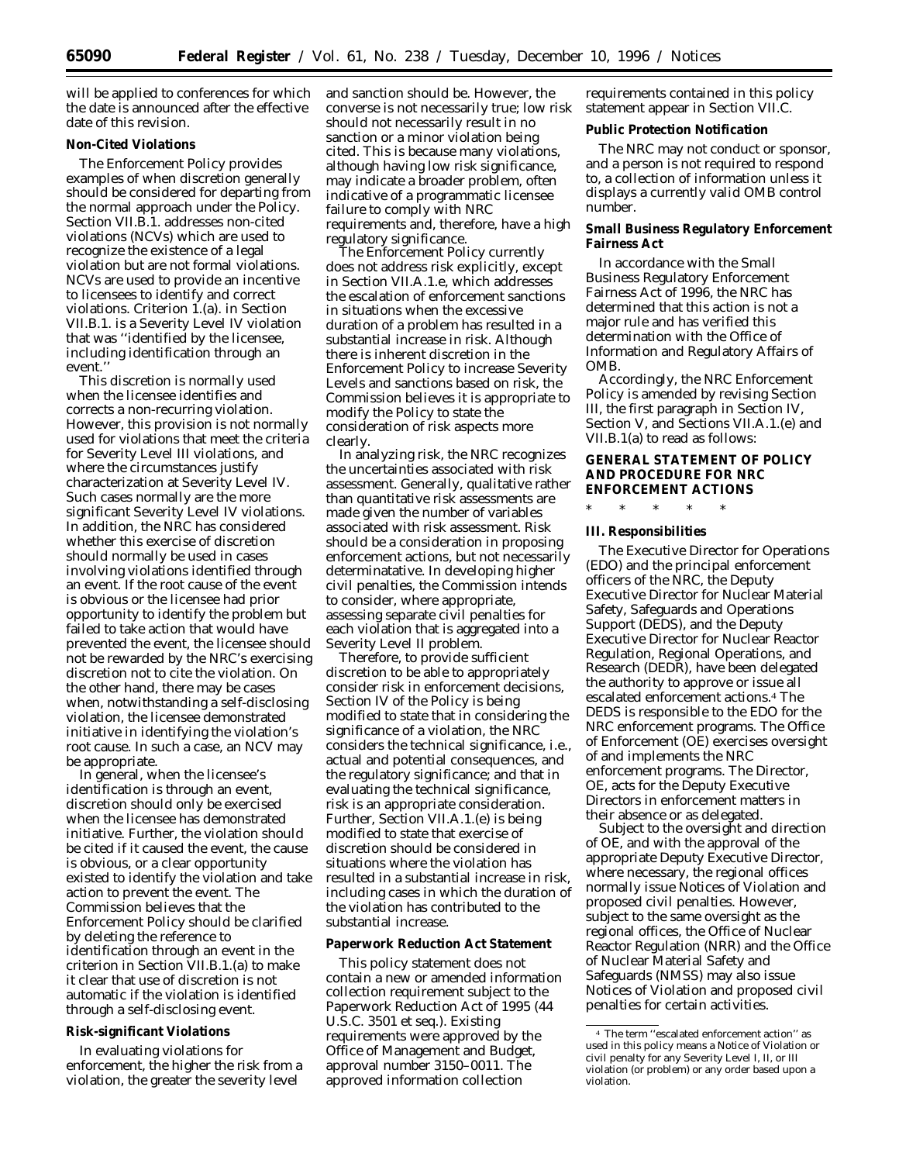will be applied to conferences for which the date is announced after the effective date of this revision.

# **Non-Cited Violations**

The Enforcement Policy provides examples of when discretion generally should be considered for departing from the normal approach under the Policy. Section VII.B.1. addresses non-cited violations (NCVs) which are used to recognize the existence of a legal violation but are not formal violations. NCVs are used to provide an incentive to licensees to identify and correct violations. Criterion 1.(a). in Section VII.B.1. is a Severity Level IV violation that was ''identified by the licensee, including identification through an event.''

This discretion is normally used when the licensee identifies and corrects a non-recurring violation. However, this provision is not normally used for violations that meet the criteria for Severity Level III violations, and where the circumstances justify characterization at Severity Level IV. Such cases normally are the more significant Severity Level IV violations. In addition, the NRC has considered whether this exercise of discretion should normally be used in cases involving violations identified through an event. If the root cause of the event is obvious or the licensee had prior opportunity to identify the problem but failed to take action that would have prevented the event, the licensee should not be rewarded by the NRC's exercising discretion not to cite the violation. On the other hand, there may be cases when, notwithstanding a self-disclosing violation, the licensee demonstrated initiative in identifying the violation's root cause. In such a case, an NCV may be appropriate.

In general, when the licensee's identification is through an event, discretion should only be exercised when the licensee has demonstrated initiative. Further, the violation should be cited if it caused the event, the cause is obvious, or a clear opportunity existed to identify the violation and take action to prevent the event. The Commission believes that the Enforcement Policy should be clarified by deleting the reference to identification through an event in the criterion in Section VII.B.1.(a) to make it clear that use of discretion is not automatic if the violation is identified through a self-disclosing event.

#### **Risk-significant Violations**

In evaluating violations for enforcement, the higher the risk from a violation, the greater the severity level

and sanction should be. However, the converse is not necessarily true; low risk should not necessarily result in no sanction or a minor violation being cited. This is because many violations, although having low risk significance, may indicate a broader problem, often indicative of a programmatic licensee failure to comply with NRC requirements and, therefore, have a high regulatory significance.

The Enforcement Policy currently does not address risk explicitly, except in Section VII.A.1.e, which addresses the escalation of enforcement sanctions in situations when the excessive duration of a problem has resulted in a substantial increase in risk. Although there is inherent discretion in the Enforcement Policy to increase Severity Levels and sanctions based on risk, the Commission believes it is appropriate to modify the Policy to state the consideration of risk aspects more clearly.

In analyzing risk, the NRC recognizes the uncertainties associated with risk assessment. Generally, qualitative rather than quantitative risk assessments are made given the number of variables associated with risk assessment. Risk should be a consideration in proposing enforcement actions, but not necessarily determinatative. In developing higher civil penalties, the Commission intends to consider, where appropriate, assessing separate civil penalties for each violation that is aggregated into a Severity Level II problem.

Therefore, to provide sufficient discretion to be able to appropriately consider risk in enforcement decisions, Section IV of the Policy is being modified to state that in considering the significance of a violation, the NRC considers the technical significance, i.e., actual and potential consequences, and the regulatory significance; and that in evaluating the technical significance, risk is an appropriate consideration. Further, Section VII.A.1.(e) is being modified to state that exercise of discretion should be considered in situations where the violation has resulted in a substantial increase in risk, including cases in which the duration of the violation has contributed to the substantial increase.

#### **Paperwork Reduction Act Statement**

This policy statement does not contain a new or amended information collection requirement subject to the Paperwork Reduction Act of 1995 (44 U.S.C. 3501 et seq.). Existing requirements were approved by the Office of Management and Budget, approval number 3150–0011. The approved information collection

requirements contained in this policy statement appear in Section VII.C.

**Public Protection Notification**

The NRC may not conduct or sponsor, and a person is not required to respond to, a collection of information unless it displays a currently valid OMB control number.

**Small Business Regulatory Enforcement Fairness Act**

In accordance with the Small Business Regulatory Enforcement Fairness Act of 1996, the NRC has determined that this action is not a major rule and has verified this determination with the Office of Information and Regulatory Affairs of OMB.

Accordingly, the NRC Enforcement Policy is amended by revising Section III, the first paragraph in Section IV, Section V, and Sections VII.A.1.(e) and VII.B.1(a) to read as follows:

**GENERAL STATEMENT OF POLICY AND PROCEDURE FOR NRC ENFORCEMENT ACTIONS**

\* \* \* \* \*

# **III. Responsibilities**

The Executive Director for Operations (EDO) and the principal enforcement officers of the NRC, the Deputy Executive Director for Nuclear Material Safety, Safeguards and Operations Support (DEDS), and the Deputy Executive Director for Nuclear Reactor Regulation, Regional Operations, and Research (DEDR), have been delegated the authority to approve or issue all escalated enforcement actions.4 The DEDS is responsible to the EDO for the NRC enforcement programs. The Office of Enforcement (OE) exercises oversight of and implements the NRC enforcement programs. The Director, OE, acts for the Deputy Executive Directors in enforcement matters in their absence or as delegated.

Subject to the oversight and direction of OE, and with the approval of the appropriate Deputy Executive Director, where necessary, the regional offices normally issue Notices of Violation and proposed civil penalties. However, subject to the same oversight as the regional offices, the Office of Nuclear Reactor Regulation (NRR) and the Office of Nuclear Material Safety and Safeguards (NMSS) may also issue Notices of Violation and proposed civil penalties for certain activities.

<sup>4</sup> The term ''escalated enforcement action'' as used in this policy means a Notice of Violation or civil penalty for any Severity Level I, II, or III violation (or problem) or any order based upon a violation.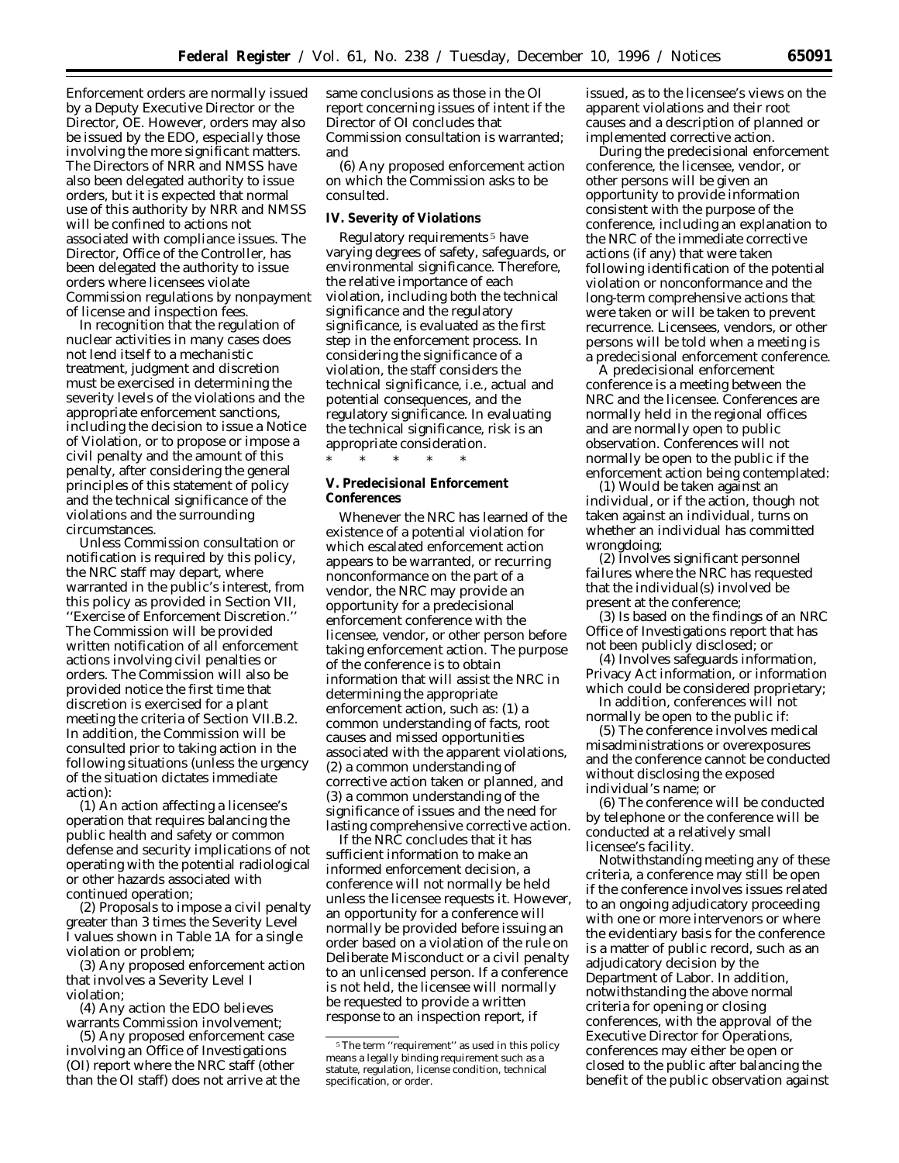Enforcement orders are normally issued by a Deputy Executive Director or the Director, OE. However, orders may also be issued by the EDO, especially those involving the more significant matters. The Directors of NRR and NMSS have also been delegated authority to issue orders, but it is expected that normal use of this authority by NRR and NMSS will be confined to actions not associated with compliance issues. The Director, Office of the Controller, has been delegated the authority to issue orders where licensees violate Commission regulations by nonpayment of license and inspection fees.

In recognition that the regulation of nuclear activities in many cases does not lend itself to a mechanistic treatment, judgment and discretion must be exercised in determining the severity levels of the violations and the appropriate enforcement sanctions, including the decision to issue a Notice of Violation, or to propose or impose a civil penalty and the amount of this penalty, after considering the general principles of this statement of policy and the technical significance of the violations and the surrounding circumstances.

Unless Commission consultation or notification is required by this policy, the NRC staff may depart, where warranted in the public's interest, from this policy as provided in Section VII, ''Exercise of Enforcement Discretion.'' The Commission will be provided written notification of all enforcement actions involving civil penalties or orders. The Commission will also be provided notice the first time that discretion is exercised for a plant meeting the criteria of Section VII.B.2. In addition, the Commission will be consulted prior to taking action in the following situations (unless the urgency of the situation dictates immediate action):

(1) An action affecting a licensee's operation that requires balancing the public health and safety or common defense and security implications of not operating with the potential radiological or other hazards associated with continued operation;

(2) Proposals to impose a civil penalty greater than 3 times the Severity Level I values shown in Table 1A for a single violation or problem;

(3) Any proposed enforcement action that involves a Severity Level I violation;

(4) Any action the EDO believes warrants Commission involvement;

(5) Any proposed enforcement case involving an Office of Investigations (OI) report where the NRC staff (other than the OI staff) does not arrive at the same conclusions as those in the OI report concerning issues of intent if the Director of OI concludes that Commission consultation is warranted; and

(6) Any proposed enforcement action on which the Commission asks to be consulted.

#### **IV. Severity of Violations**

Regulatory requirements 5 have varying degrees of safety, safeguards, or environmental significance. Therefore, the relative importance of each violation, including both the technical significance and the regulatory significance, is evaluated as the first step in the enforcement process. In considering the significance of a violation, the staff considers the technical significance, i.e., actual and potential consequences, and the regulatory significance. In evaluating the technical significance, risk is an appropriate consideration. \* \* \* \* \*

**V. Predecisional Enforcement Conferences**

Whenever the NRC has learned of the existence of a potential violation for which escalated enforcement action appears to be warranted, or recurring nonconformance on the part of a vendor, the NRC may provide an opportunity for a predecisional enforcement conference with the licensee, vendor, or other person before taking enforcement action. The purpose of the conference is to obtain information that will assist the NRC in determining the appropriate enforcement action, such as: (1) a common understanding of facts, root causes and missed opportunities associated with the apparent violations, (2) a common understanding of corrective action taken or planned, and (3) a common understanding of the significance of issues and the need for lasting comprehensive corrective action.

If the NRC concludes that it has sufficient information to make an informed enforcement decision, a conference will not normally be held unless the licensee requests it. However, an opportunity for a conference will normally be provided before issuing an order based on a violation of the rule on Deliberate Misconduct or a civil penalty to an unlicensed person. If a conference is not held, the licensee will normally be requested to provide a written response to an inspection report, if

issued, as to the licensee's views on the apparent violations and their root causes and a description of planned or implemented corrective action.

During the predecisional enforcement conference, the licensee, vendor, or other persons will be given an opportunity to provide information consistent with the purpose of the conference, including an explanation to the NRC of the immediate corrective actions (if any) that were taken following identification of the potential violation or nonconformance and the long-term comprehensive actions that were taken or will be taken to prevent recurrence. Licensees, vendors, or other persons will be told when a meeting is a predecisional enforcement conference.

A predecisional enforcement conference is a meeting between the NRC and the licensee. Conferences are normally held in the regional offices and are normally open to public observation. Conferences will not normally be open to the public if the enforcement action being contemplated:

(1) Would be taken against an individual, or if the action, though not taken against an individual, turns on whether an individual has committed wrongdoing;

(2) Involves significant personnel failures where the NRC has requested that the individual(s) involved be present at the conference;

(3) Is based on the findings of an NRC Office of Investigations report that has not been publicly disclosed; or

(4) Involves safeguards information, Privacy Act information, or information which could be considered proprietary;

In addition, conferences will not normally be open to the public if:

(5) The conference involves medical misadministrations or overexposures and the conference cannot be conducted without disclosing the exposed individual's name; or

(6) The conference will be conducted by telephone or the conference will be conducted at a relatively small licensee's facility.

Notwithstanding meeting any of these criteria, a conference may still be open if the conference involves issues related to an ongoing adjudicatory proceeding with one or more intervenors or where the evidentiary basis for the conference is a matter of public record, such as an adjudicatory decision by the Department of Labor. In addition, notwithstanding the above normal criteria for opening or closing conferences, with the approval of the Executive Director for Operations, conferences may either be open or closed to the public after balancing the benefit of the public observation against

<sup>5</sup>The term ''requirement'' as used in this policy means a legally binding requirement such as a statute, regulation, license condition, technical specification, or order.